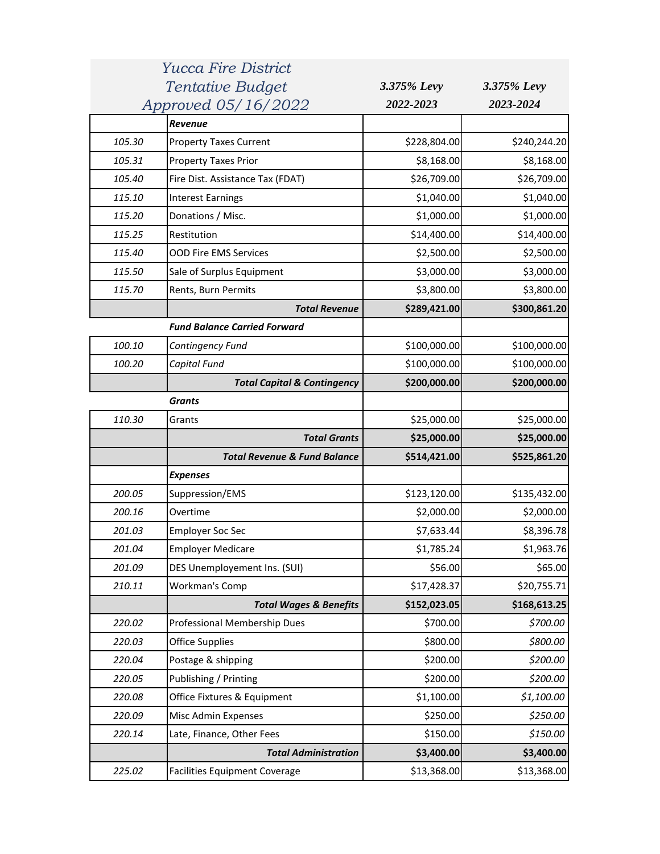|        | <i>Yucca Fire District</i>              |              |              |
|--------|-----------------------------------------|--------------|--------------|
|        | Tentative Budget                        | 3.375% Levy  | 3.375% Levy  |
|        | Approved 05/16/2022                     | 2022-2023    | 2023-2024    |
|        | Revenue                                 |              |              |
| 105.30 | <b>Property Taxes Current</b>           | \$228,804.00 | \$240,244.20 |
| 105.31 | <b>Property Taxes Prior</b>             | \$8,168.00   | \$8,168.00   |
| 105.40 | Fire Dist. Assistance Tax (FDAT)        | \$26,709.00  | \$26,709.00  |
| 115.10 | <b>Interest Earnings</b>                | \$1,040.00   | \$1,040.00   |
| 115.20 | Donations / Misc.                       | \$1,000.00   | \$1,000.00   |
| 115.25 | Restitution                             | \$14,400.00  | \$14,400.00  |
| 115.40 | <b>OOD Fire EMS Services</b>            | \$2,500.00   | \$2,500.00   |
| 115.50 | Sale of Surplus Equipment               | \$3,000.00   | \$3,000.00   |
| 115.70 | Rents, Burn Permits                     | \$3,800.00   | \$3,800.00   |
|        | <b>Total Revenue</b>                    | \$289,421.00 | \$300,861.20 |
|        | <b>Fund Balance Carried Forward</b>     |              |              |
| 100.10 | Contingency Fund                        | \$100,000.00 | \$100,000.00 |
| 100.20 | Capital Fund                            | \$100,000.00 | \$100,000.00 |
|        | <b>Total Capital &amp; Contingency</b>  | \$200,000.00 | \$200,000.00 |
|        | <b>Grants</b>                           |              |              |
| 110.30 | Grants                                  | \$25,000.00  | \$25,000.00  |
|        | <b>Total Grants</b>                     | \$25,000.00  | \$25,000.00  |
|        | <b>Total Revenue &amp; Fund Balance</b> | \$514,421.00 | \$525,861.20 |
|        | <b>Expenses</b>                         |              |              |
| 200.05 | Suppression/EMS                         | \$123,120.00 | \$135,432.00 |
| 200.16 | Overtime                                | \$2,000.00   | \$2,000.00   |
| 201.03 | <b>Employer Soc Sec</b>                 | \$7,633.44   | \$8,396.78   |
| 201.04 | <b>Employer Medicare</b>                | \$1,785.24   | \$1,963.76   |
| 201.09 | DES Unemployement Ins. (SUI)            | \$56.00      | \$65.00      |
| 210.11 | <b>Workman's Comp</b>                   | \$17,428.37  | \$20,755.71  |
|        | <b>Total Wages &amp; Benefits</b>       | \$152,023.05 | \$168,613.25 |
| 220.02 | Professional Membership Dues            | \$700.00     | \$700.00     |
| 220.03 | <b>Office Supplies</b>                  | \$800.00     | \$800.00     |
| 220.04 | Postage & shipping                      | \$200.00     | \$200.00     |
| 220.05 | Publishing / Printing                   | \$200.00     | \$200.00     |
| 220.08 | Office Fixtures & Equipment             | \$1,100.00   | \$1,100.00   |
| 220.09 | Misc Admin Expenses                     | \$250.00     | \$250.00     |
| 220.14 | Late, Finance, Other Fees               | \$150.00     | \$150.00     |
|        | <b>Total Administration</b>             | \$3,400.00   | \$3,400.00   |
| 225.02 |                                         | \$13,368.00  | \$13,368.00  |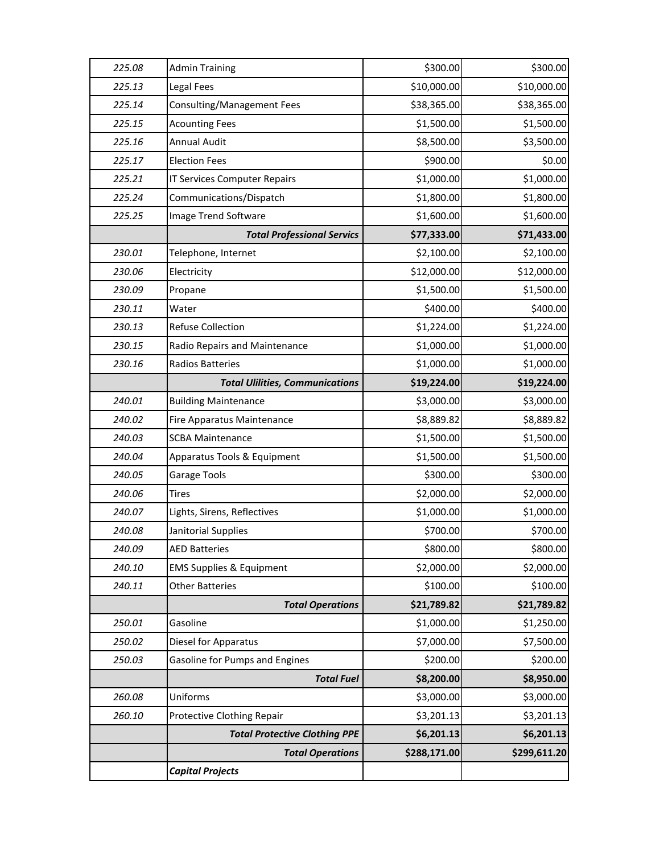| 225.08 | <b>Admin Training</b>                  | \$300.00     | \$300.00     |
|--------|----------------------------------------|--------------|--------------|
| 225.13 | Legal Fees                             | \$10,000.00  | \$10,000.00  |
| 225.14 | Consulting/Management Fees             | \$38,365.00  | \$38,365.00  |
| 225.15 | <b>Acounting Fees</b>                  | \$1,500.00   | \$1,500.00   |
| 225.16 | Annual Audit                           | \$8,500.00   | \$3,500.00   |
| 225.17 | <b>Election Fees</b>                   | \$900.00     | \$0.00       |
| 225.21 | <b>IT Services Computer Repairs</b>    | \$1,000.00   | \$1,000.00   |
| 225.24 | Communications/Dispatch                | \$1,800.00   | \$1,800.00   |
| 225.25 | <b>Image Trend Software</b>            | \$1,600.00   | \$1,600.00   |
|        | <b>Total Professional Servics</b>      | \$77,333.00  | \$71,433.00  |
| 230.01 | Telephone, Internet                    | \$2,100.00   | \$2,100.00   |
| 230.06 | Electricity                            | \$12,000.00  | \$12,000.00  |
| 230.09 | Propane                                | \$1,500.00   | \$1,500.00   |
| 230.11 | Water                                  | \$400.00     | \$400.00     |
| 230.13 | <b>Refuse Collection</b>               | \$1,224.00   | \$1,224.00   |
| 230.15 | Radio Repairs and Maintenance          | \$1,000.00   | \$1,000.00   |
| 230.16 | <b>Radios Batteries</b>                | \$1,000.00   | \$1,000.00   |
|        | <b>Total Ulilities, Communications</b> | \$19,224.00  | \$19,224.00  |
| 240.01 | <b>Building Maintenance</b>            | \$3,000.00   | \$3,000.00   |
| 240.02 | Fire Apparatus Maintenance             | \$8,889.82   | \$8,889.82   |
| 240.03 | <b>SCBA Maintenance</b>                | \$1,500.00   | \$1,500.00   |
| 240.04 | Apparatus Tools & Equipment            | \$1,500.00   | \$1,500.00   |
| 240.05 | Garage Tools                           | \$300.00     | \$300.00     |
| 240.06 | Tires                                  | \$2,000.00   | \$2,000.00   |
| 240.07 | Lights, Sirens, Reflectives            | \$1,000.00   | \$1,000.00   |
| 240.08 | Janitorial Supplies                    | \$700.00     | \$700.00     |
| 240.09 | <b>AED Batteries</b>                   | \$800.00     | \$800.00     |
| 240.10 | <b>EMS Supplies &amp; Equipment</b>    | \$2,000.00   | \$2,000.00   |
| 240.11 | <b>Other Batteries</b>                 | \$100.00     | \$100.00     |
|        | <b>Total Operations</b>                | \$21,789.82  | \$21,789.82  |
| 250.01 | Gasoline                               | \$1,000.00   | \$1,250.00   |
| 250.02 | Diesel for Apparatus                   | \$7,000.00   | \$7,500.00   |
| 250.03 | <b>Gasoline for Pumps and Engines</b>  | \$200.00     | \$200.00     |
|        | <b>Total Fuel</b>                      | \$8,200.00   | \$8,950.00   |
| 260.08 | Uniforms                               | \$3,000.00   | \$3,000.00   |
| 260.10 | Protective Clothing Repair             | \$3,201.13   | \$3,201.13   |
|        | <b>Total Protective Clothing PPE</b>   | \$6,201.13   | \$6,201.13   |
|        | <b>Total Operations</b>                | \$288,171.00 | \$299,611.20 |
|        | <b>Capital Projects</b>                |              |              |